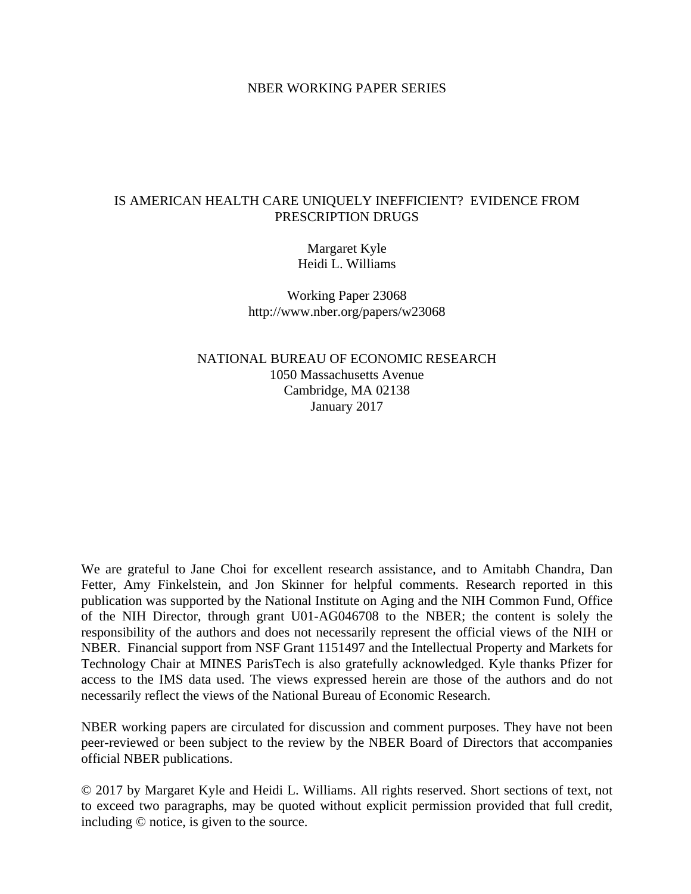## NBER WORKING PAPER SERIES

# IS AMERICAN HEALTH CARE UNIQUELY INEFFICIENT? EVIDENCE FROM PRESCRIPTION DRUGS

Margaret Kyle Heidi L. Williams

Working Paper 23068 http://www.nber.org/papers/w23068

NATIONAL BUREAU OF ECONOMIC RESEARCH 1050 Massachusetts Avenue Cambridge, MA 02138 January 2017

We are grateful to Jane Choi for excellent research assistance, and to Amitabh Chandra, Dan Fetter, Amy Finkelstein, and Jon Skinner for helpful comments. Research reported in this publication was supported by the National Institute on Aging and the NIH Common Fund, Office of the NIH Director, through grant U01-AG046708 to the NBER; the content is solely the responsibility of the authors and does not necessarily represent the official views of the NIH or NBER. Financial support from NSF Grant 1151497 and the Intellectual Property and Markets for Technology Chair at MINES ParisTech is also gratefully acknowledged. Kyle thanks Pfizer for access to the IMS data used. The views expressed herein are those of the authors and do not necessarily reflect the views of the National Bureau of Economic Research.

NBER working papers are circulated for discussion and comment purposes. They have not been peer-reviewed or been subject to the review by the NBER Board of Directors that accompanies official NBER publications.

© 2017 by Margaret Kyle and Heidi L. Williams. All rights reserved. Short sections of text, not to exceed two paragraphs, may be quoted without explicit permission provided that full credit, including © notice, is given to the source.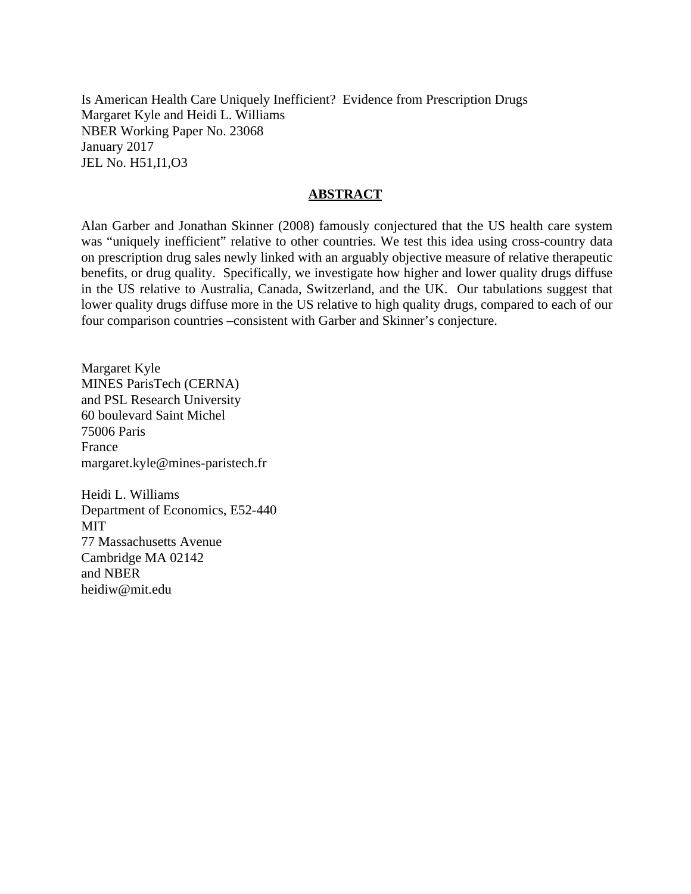Is American Health Care Uniquely Inefficient? Evidence from Prescription Drugs Margaret Kyle and Heidi L. Williams NBER Working Paper No. 23068 January 2017 JEL No. H51,I1,O3

# **ABSTRACT**

Alan Garber and Jonathan Skinner (2008) famously conjectured that the US health care system was "uniquely inefficient" relative to other countries. We test this idea using cross-country data on prescription drug sales newly linked with an arguably objective measure of relative therapeutic benefits, or drug quality. Specifically, we investigate how higher and lower quality drugs diffuse in the US relative to Australia, Canada, Switzerland, and the UK. Our tabulations suggest that lower quality drugs diffuse more in the US relative to high quality drugs, compared to each of our four comparison countries –consistent with Garber and Skinner's conjecture.

Margaret Kyle MINES ParisTech (CERNA) and PSL Research University 60 boulevard Saint Michel 75006 Paris France margaret.kyle@mines-paristech.fr

Heidi L. Williams Department of Economics, E52-440 MIT 77 Massachusetts Avenue Cambridge MA 02142 and NBER heidiw@mit.edu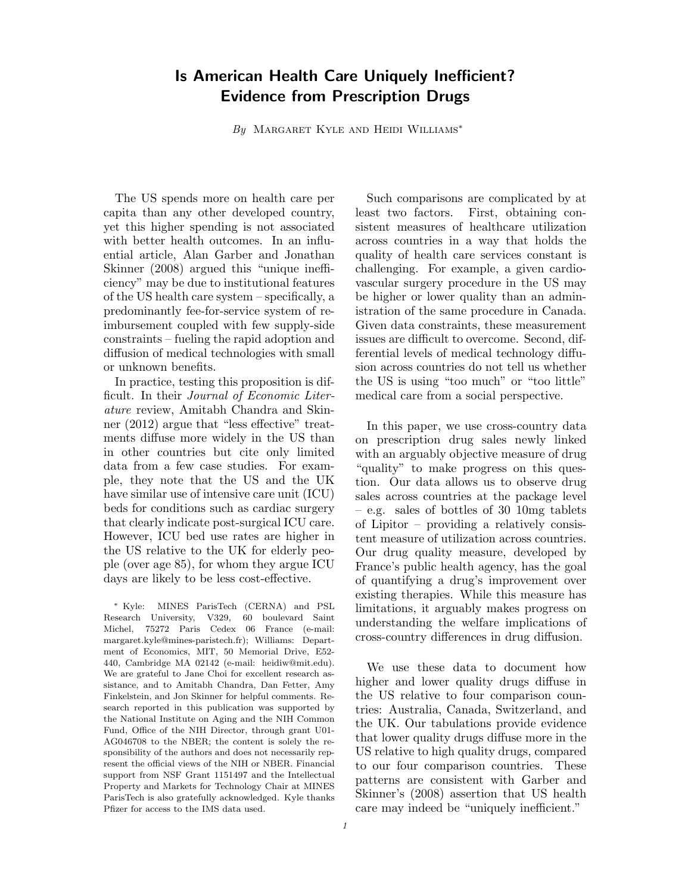# Is American Health Care Uniquely Inefficient? Evidence from Prescription Drugs

By MARGARET KYLE AND HEIDI WILLIAMS<sup>\*</sup>

The US spends more on health care per capita than any other developed country, yet this higher spending is not associated with better health outcomes. In an influential article, Alan Garber and Jonathan Skinner (2008) argued this "unique inefficiency" may be due to institutional features of the US health care system – specifically, a predominantly fee-for-service system of reimbursement coupled with few supply-side constraints – fueling the rapid adoption and diffusion of medical technologies with small or unknown benefits.

In practice, testing this proposition is difficult. In their Journal of Economic Literature review, Amitabh Chandra and Skinner (2012) argue that "less effective" treatments diffuse more widely in the US than in other countries but cite only limited data from a few case studies. For example, they note that the US and the UK have similar use of intensive care unit (ICU) beds for conditions such as cardiac surgery that clearly indicate post-surgical ICU care. However, ICU bed use rates are higher in the US relative to the UK for elderly people (over age 85), for whom they argue ICU days are likely to be less cost-effective.

<sup>∗</sup> Kyle: MINES ParisTech (CERNA) and PSL Research University, V329, 60 boulevard Saint Michel, 75272 Paris Cedex 06 France (e-mail: margaret.kyle@mines-paristech.fr); Williams: Department of Economics, MIT, 50 Memorial Drive, E52- 440, Cambridge MA 02142 (e-mail: heidiw@mit.edu). We are grateful to Jane Choi for excellent research assistance, and to Amitabh Chandra, Dan Fetter, Amy Finkelstein, and Jon Skinner for helpful comments. Research reported in this publication was supported by the National Institute on Aging and the NIH Common Fund, Office of the NIH Director, through grant U01- AG046708 to the NBER; the content is solely the responsibility of the authors and does not necessarily represent the official views of the NIH or NBER. Financial support from NSF Grant 1151497 and the Intellectual Property and Markets for Technology Chair at MINES ParisTech is also gratefully acknowledged. Kyle thanks Pfizer for access to the IMS data used.

Such comparisons are complicated by at least two factors. First, obtaining consistent measures of healthcare utilization across countries in a way that holds the quality of health care services constant is challenging. For example, a given cardiovascular surgery procedure in the US may be higher or lower quality than an administration of the same procedure in Canada. Given data constraints, these measurement issues are difficult to overcome. Second, differential levels of medical technology diffusion across countries do not tell us whether the US is using "too much" or "too little" medical care from a social perspective.

In this paper, we use cross-country data on prescription drug sales newly linked with an arguably objective measure of drug "quality" to make progress on this question. Our data allows us to observe drug sales across countries at the package level – e.g. sales of bottles of 30 10mg tablets of Lipitor – providing a relatively consistent measure of utilization across countries. Our drug quality measure, developed by France's public health agency, has the goal of quantifying a drug's improvement over existing therapies. While this measure has limitations, it arguably makes progress on understanding the welfare implications of cross-country differences in drug diffusion.

We use these data to document how higher and lower quality drugs diffuse in the US relative to four comparison countries: Australia, Canada, Switzerland, and the UK. Our tabulations provide evidence that lower quality drugs diffuse more in the US relative to high quality drugs, compared to our four comparison countries. These patterns are consistent with Garber and Skinner's (2008) assertion that US health care may indeed be "uniquely inefficient."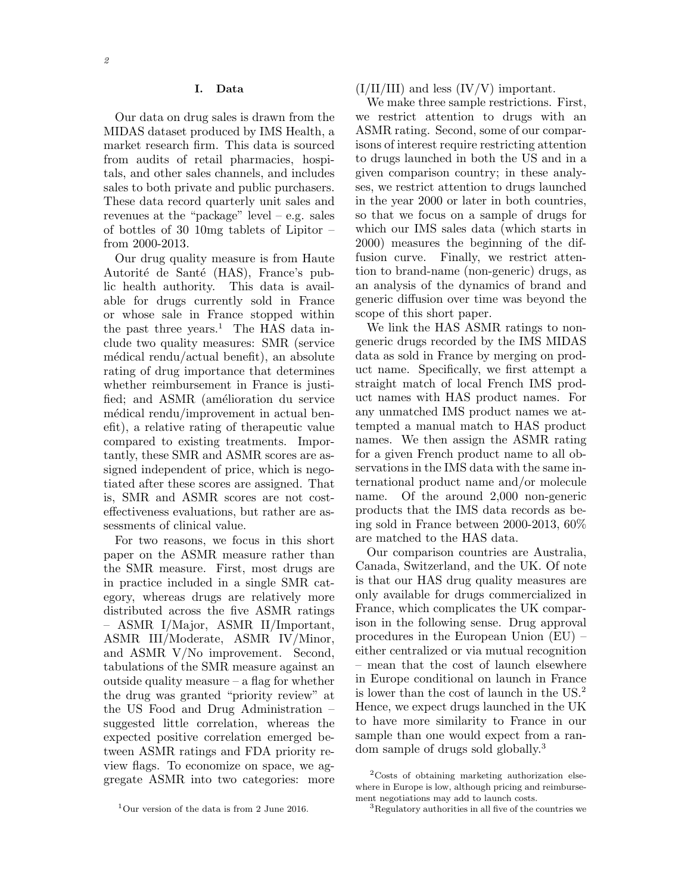#### I. Data

Our data on drug sales is drawn from the MIDAS dataset produced by IMS Health, a market research firm. This data is sourced from audits of retail pharmacies, hospitals, and other sales channels, and includes sales to both private and public purchasers. These data record quarterly unit sales and revenues at the "package" level – e.g. sales of bottles of 30 10mg tablets of Lipitor – from 2000-2013.

Our drug quality measure is from Haute Autorité de Santé (HAS), France's public health authority. This data is available for drugs currently sold in France or whose sale in France stopped within the past three years.<sup>1</sup> The HAS data include two quality measures: SMR (service médical rendu/actual benefit), an absolute rating of drug importance that determines whether reimbursement in France is justified; and ASMR (amélioration du service médical rendu/improvement in actual benefit), a relative rating of therapeutic value compared to existing treatments. Importantly, these SMR and ASMR scores are assigned independent of price, which is negotiated after these scores are assigned. That is, SMR and ASMR scores are not costeffectiveness evaluations, but rather are assessments of clinical value.

For two reasons, we focus in this short paper on the ASMR measure rather than the SMR measure. First, most drugs are in practice included in a single SMR category, whereas drugs are relatively more distributed across the five ASMR ratings – ASMR I/Major, ASMR II/Important, ASMR III/Moderate, ASMR IV/Minor, and ASMR V/No improvement. Second, tabulations of the SMR measure against an outside quality measure – a flag for whether the drug was granted "priority review" at the US Food and Drug Administration – suggested little correlation, whereas the expected positive correlation emerged between ASMR ratings and FDA priority review flags. To economize on space, we aggregate ASMR into two categories: more

### $(I/II/III)$  and less  $(IV/V)$  important.

We make three sample restrictions. First, we restrict attention to drugs with an ASMR rating. Second, some of our comparisons of interest require restricting attention to drugs launched in both the US and in a given comparison country; in these analyses, we restrict attention to drugs launched in the year 2000 or later in both countries, so that we focus on a sample of drugs for which our IMS sales data (which starts in 2000) measures the beginning of the diffusion curve. Finally, we restrict attention to brand-name (non-generic) drugs, as an analysis of the dynamics of brand and generic diffusion over time was beyond the scope of this short paper.

We link the HAS ASMR ratings to nongeneric drugs recorded by the IMS MIDAS data as sold in France by merging on product name. Specifically, we first attempt a straight match of local French IMS product names with HAS product names. For any unmatched IMS product names we attempted a manual match to HAS product names. We then assign the ASMR rating for a given French product name to all observations in the IMS data with the same international product name and/or molecule name. Of the around 2,000 non-generic products that the IMS data records as being sold in France between 2000-2013, 60% are matched to the HAS data.

Our comparison countries are Australia, Canada, Switzerland, and the UK. Of note is that our HAS drug quality measures are only available for drugs commercialized in France, which complicates the UK comparison in the following sense. Drug approval procedures in the European Union (EU) – either centralized or via mutual recognition – mean that the cost of launch elsewhere in Europe conditional on launch in France is lower than the cost of launch in the US.<sup>2</sup> Hence, we expect drugs launched in the UK to have more similarity to France in our sample than one would expect from a random sample of drugs sold globally.<sup>3</sup>

<sup>2</sup>Costs of obtaining marketing authorization elsewhere in Europe is low, although pricing and reimbursement negotiations may add to launch costs.

<sup>1</sup>Our version of the data is from 2 June 2016.

<sup>3</sup>Regulatory authorities in all five of the countries we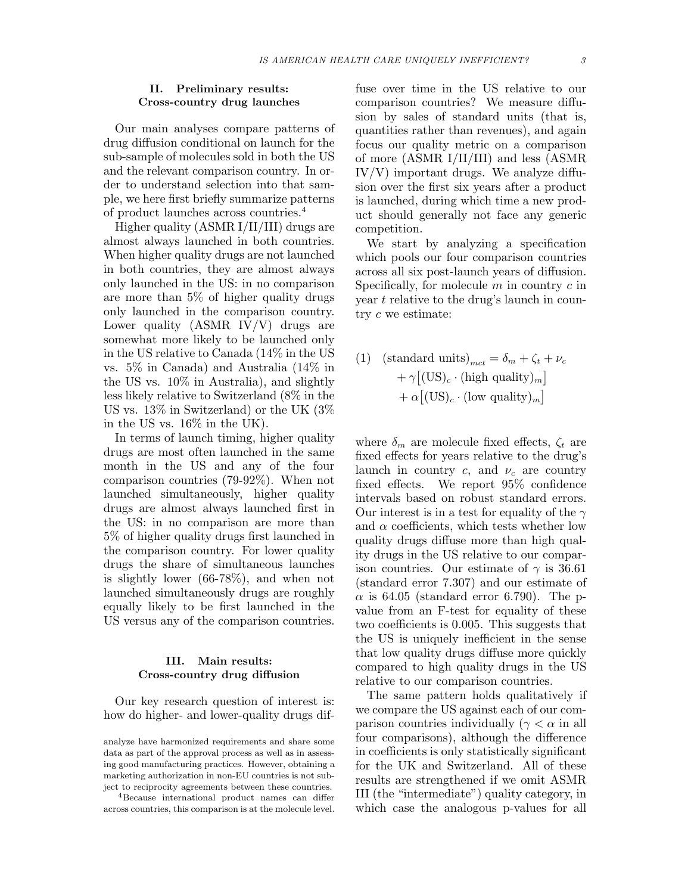## II. Preliminary results: Cross-country drug launches

Our main analyses compare patterns of drug diffusion conditional on launch for the sub-sample of molecules sold in both the US and the relevant comparison country. In order to understand selection into that sample, we here first briefly summarize patterns of product launches across countries.<sup>4</sup>

Higher quality (ASMR I/II/III) drugs are almost always launched in both countries. When higher quality drugs are not launched in both countries, they are almost always only launched in the US: in no comparison are more than 5% of higher quality drugs only launched in the comparison country. Lower quality (ASMR IV/V) drugs are somewhat more likely to be launched only in the US relative to Canada (14% in the US vs. 5% in Canada) and Australia (14% in the US vs. 10% in Australia), and slightly less likely relative to Switzerland (8% in the US vs. 13% in Switzerland) or the UK (3% in the US vs. 16% in the UK).

In terms of launch timing, higher quality drugs are most often launched in the same month in the US and any of the four comparison countries (79-92%). When not launched simultaneously, higher quality drugs are almost always launched first in the US: in no comparison are more than 5% of higher quality drugs first launched in the comparison country. For lower quality drugs the share of simultaneous launches is slightly lower (66-78%), and when not launched simultaneously drugs are roughly equally likely to be first launched in the US versus any of the comparison countries.

## III. Main results: Cross-country drug diffusion

Our key research question of interest is: how do higher- and lower-quality drugs diffuse over time in the US relative to our comparison countries? We measure diffusion by sales of standard units (that is, quantities rather than revenues), and again focus our quality metric on a comparison of more (ASMR I/II/III) and less (ASMR IV/V) important drugs. We analyze diffusion over the first six years after a product is launched, during which time a new product should generally not face any generic competition.

We start by analyzing a specification which pools our four comparison countries across all six post-launch years of diffusion. Specifically, for molecule  $m$  in country  $c$  in year t relative to the drug's launch in country c we estimate:

(1) (standard units)<sub>mct</sub> =  $\delta_m + \zeta_t + \nu_c$  $+\gamma \left[{\rm (US)}_c \cdot {\rm (high\ quality)}_m\right]$  $+ \alpha \left[{\rm (US)}_c \cdot {\rm (low \ quality)}_m\right]$ 

where  $\delta_m$  are molecule fixed effects,  $\zeta_t$  are fixed effects for years relative to the drug's launch in country  $c$ , and  $\nu_c$  are country fixed effects. We report 95% confidence intervals based on robust standard errors. Our interest is in a test for equality of the  $\gamma$ and  $\alpha$  coefficients, which tests whether low quality drugs diffuse more than high quality drugs in the US relative to our comparison countries. Our estimate of  $\gamma$  is 36.61 (standard error 7.307) and our estimate of  $\alpha$  is 64.05 (standard error 6.790). The pvalue from an F-test for equality of these two coefficients is 0.005. This suggests that the US is uniquely inefficient in the sense that low quality drugs diffuse more quickly compared to high quality drugs in the US relative to our comparison countries.

The same pattern holds qualitatively if we compare the US against each of our comparison countries individually ( $\gamma < \alpha$  in all four comparisons), although the difference in coefficients is only statistically significant for the UK and Switzerland. All of these results are strengthened if we omit ASMR III (the "intermediate") quality category, in which case the analogous p-values for all

analyze have harmonized requirements and share some data as part of the approval process as well as in assessing good manufacturing practices. However, obtaining a marketing authorization in non-EU countries is not subject to reciprocity agreements between these countries.

<sup>4</sup>Because international product names can differ across countries, this comparison is at the molecule level.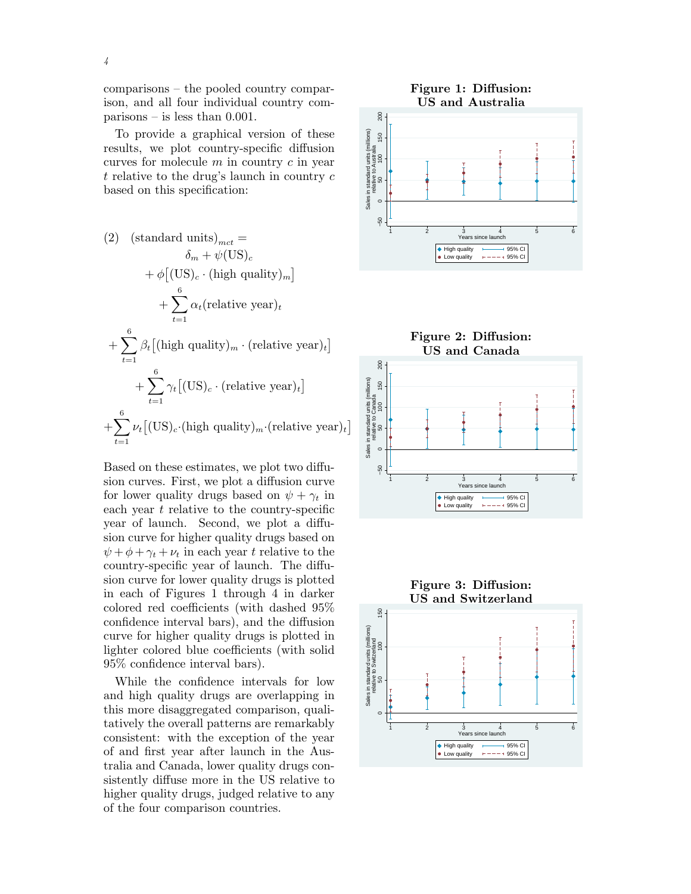comparisons – the pooled country comparison, and all four individual country comparisons – is less than 0.001.

To provide a graphical version of these results, we plot country-specific diffusion curves for molecule  $m$  in country  $c$  in year  $t$  relative to the drug's launch in country  $c$ based on this specification:

(2) (standard units)<sub>mot</sub> =  
\n
$$
\delta_m + \psi(\text{US})_c
$$
\n
$$
+ \phi [(\text{US})_c \cdot (\text{high quality})_m]
$$
\n
$$
+ \sum_{t=1}^6 \alpha_t (\text{relative year})_t
$$
\n
$$
+ \sum_{t=1}^6 \beta_t [(\text{high quality})_m \cdot (\text{relative year})_t]
$$
\n
$$
+ \sum_{t=1}^6 \gamma_t [(\text{US})_c \cdot (\text{relative year})_t]
$$
\n
$$
+ \sum_{t=1}^6 \nu_t [(\text{US})_c \cdot (\text{high quality})_m \cdot (\text{relative year})_t
$$

Based on these estimates, we plot two diffusion curves. First, we plot a diffusion curve for lower quality drugs based on  $\psi + \gamma_t$  in each year  $t$  relative to the country-specific year of launch. Second, we plot a diffusion curve for higher quality drugs based on  $\psi + \phi + \gamma_t + \nu_t$  in each year t relative to the country-specific year of launch. The diffusion curve for lower quality drugs is plotted in each of Figures 1 through 4 in darker colored red coefficients (with dashed 95% confidence interval bars), and the diffusion curve for higher quality drugs is plotted in lighter colored blue coefficients (with solid 95% confidence interval bars).

While the confidence intervals for low and high quality drugs are overlapping in this more disaggregated comparison, qualitatively the overall patterns are remarkably consistent: with the exception of the year of and first year after launch in the Australia and Canada, lower quality drugs consistently diffuse more in the US relative to higher quality drugs, judged relative to any of the four comparison countries.